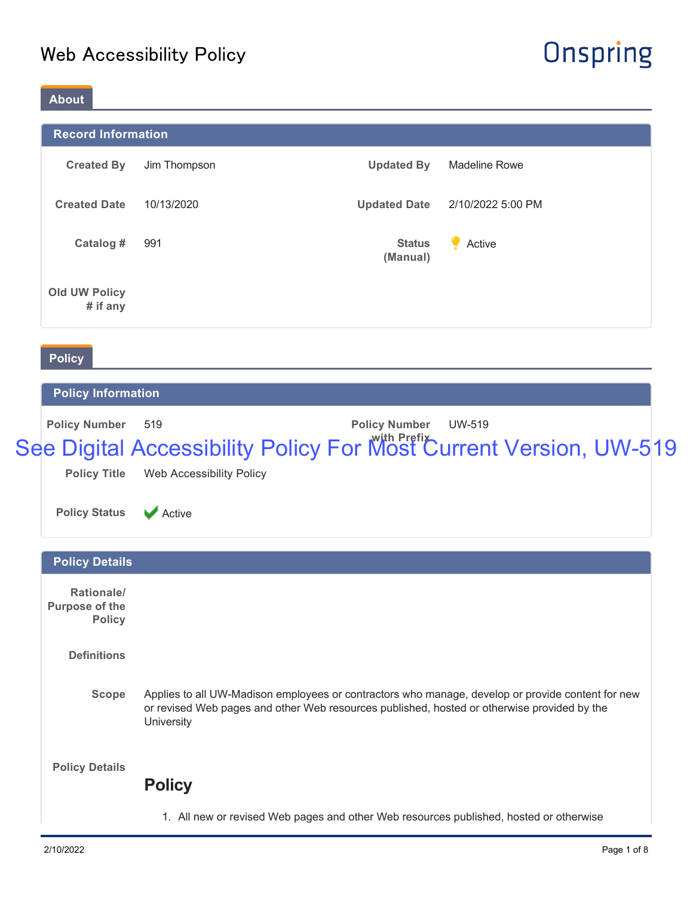# Onspring

### **About**

|                                  | <b>Record Information</b> |                           |                      |  |  |  |  |  |  |
|----------------------------------|---------------------------|---------------------------|----------------------|--|--|--|--|--|--|
| <b>Created By</b>                | Jim Thompson              | <b>Updated By</b>         | <b>Madeline Rowe</b> |  |  |  |  |  |  |
| <b>Created Date</b>              | 10/13/2020                | <b>Updated Date</b>       | 2/10/2022 5:00 PM    |  |  |  |  |  |  |
| Catalog #                        | 991                       | <b>Status</b><br>(Manual) | Active               |  |  |  |  |  |  |
| <b>Old UW Policy</b><br># if any |                           |                           |                      |  |  |  |  |  |  |
| <b>Policy</b>                    |                           |                           |                      |  |  |  |  |  |  |

#### **Policy Information**

| <b>Policy Number</b> 519 |                                                                   | <b>Policy Number</b> | UW-519 |  |
|--------------------------|-------------------------------------------------------------------|----------------------|--------|--|
|                          | See Digital Accessibility Policy For Most Current Version, UW-519 |                      |        |  |
|                          | <b>Policy Title Web Accessibility Policy</b>                      |                      |        |  |

|  |  | the contract of the contract of the contract of the contract of the contract of |  |  |  |
|--|--|---------------------------------------------------------------------------------|--|--|--|
|  |  |                                                                                 |  |  |  |

**Policy Status** Active

| <b>Policy Details</b>                                |                                                                                                                                                                                                                       |
|------------------------------------------------------|-----------------------------------------------------------------------------------------------------------------------------------------------------------------------------------------------------------------------|
| Rationale/<br><b>Purpose of the</b><br><b>Policy</b> |                                                                                                                                                                                                                       |
| <b>Definitions</b>                                   |                                                                                                                                                                                                                       |
| Scope                                                | Applies to all UW-Madison employees or contractors who manage, develop or provide content for new<br>or revised Web pages and other Web resources published, hosted or otherwise provided by the<br><b>University</b> |
| <b>Policy Details</b>                                | <b>Policy</b>                                                                                                                                                                                                         |
|                                                      | 1. All new or revised Web pages and other Web resources published, hosted or otherwise                                                                                                                                |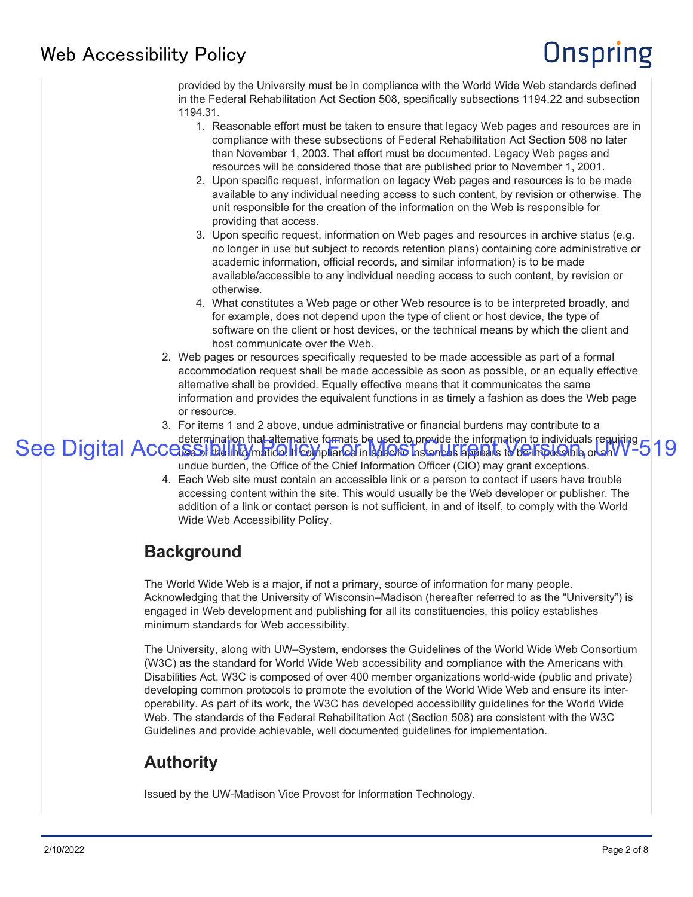# Onspring

provided by the University must be in compliance with the World Wide Web standards defined in the Federal Rehabilitation Act Section 508, specifically subsections 1194.22 and subsection 1194.31.

- 1. Reasonable effort must be taken to ensure that legacy Web pages and resources are in compliance with these subsections of Federal Rehabilitation Act Section 508 no later than November 1, 2003. That effort must be documented. Legacy Web pages and resources will be considered those that are published prior to November 1, 2001.
- 2. Upon specific request, information on legacy Web pages and resources is to be made available to any individual needing access to such content, by revision or otherwise. The unit responsible for the creation of the information on the Web is responsible for providing that access.
- 3. Upon specific request, information on Web pages and resources in archive status (e.g. no longer in use but subject to records retention plans) containing core administrative or academic information, official records, and similar information) is to be made available/accessible to any individual needing access to such content, by revision or otherwise.
- 4. What constitutes a Web page or other Web resource is to be interpreted broadly, and for example, does not depend upon the type of client or host device, the type of software on the client or host devices, or the technical means by which the client and host communicate over the Web.
- 2. Web pages or resources specifically requested to be made accessible as part of a formal accommodation request shall be made accessible as soon as possible, or an equally effective alternative shall be provided. Equally effective means that it communicates the same information and provides the equivalent functions in as timely a fashion as does the Web page or resource.
- 3. For items 1 and 2 above, undue administrative or financial burdens may contribute to a

determination that alternative formats be used to provide the information to individuals requiring See Digital Accessibility President Current Current Current Current Current Current Current Current Version or an W-519

- undue burden, the Office of the Chief Information Officer (CIO) may grant exceptions.
- 4. Each Web site must contain an accessible link or a person to contact if users have trouble accessing content within the site. This would usually be the Web developer or publisher. The addition of a link or contact person is not sufficient, in and of itself, to comply with the World Wide Web Accessibility Policy.

### **Background**

The World Wide Web is a major, if not a primary, source of information for many people. Acknowledging that the University of Wisconsin–Madison (hereafter referred to as the "University") is engaged in Web development and publishing for all its constituencies, this policy establishes minimum standards for Web accessibility.

The University, along with UW–System, endorses the Guidelines of the World Wide Web Consortium (W3C) as the standard for World Wide Web accessibility and compliance with the Americans with Disabilities Act. W3C is composed of over 400 member organizations world-wide (public and private) developing common protocols to promote the evolution of the World Wide Web and ensure its interoperability. As part of its work, the W3C has developed accessibility guidelines for the World Wide Web. The standards of the Federal Rehabilitation Act (Section 508) are consistent with the W3C Guidelines and provide achievable, well documented guidelines for implementation.

# **Authority**

Issued by the UW-Madison Vice Provost for Information Technology.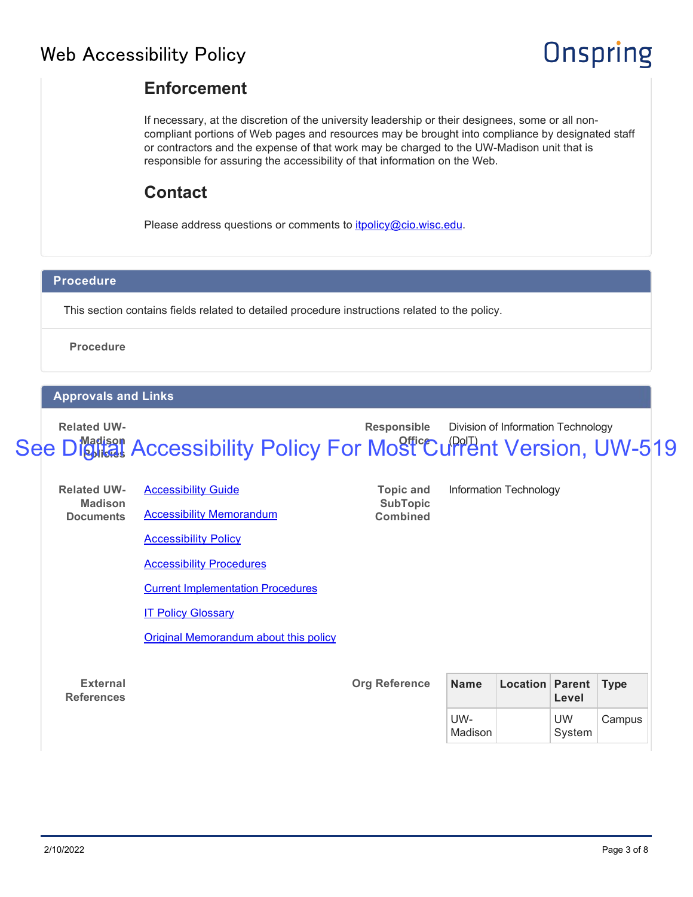# **Onspring**

### **Enforcement**

If necessary, at the discretion of the university leadership or their designees, some or all noncompliant portions of Web pages and resources may be brought into compliance by designated staff or contractors and the expense of that work may be charged to the UW-Madison unit that is responsible for assuring the accessibility of that information on the Web.

### **Contact**

Please address questions or comments to *itpolicy@cio.wisc.edu.* 

#### **Procedure**

This section contains fields related to detailed procedure instructions related to the policy.

**Procedure**

#### **Approvals and Links**

**Related UW-**

#### **Madison Policies** See Digital Accessibility Policy For Most Current Version, UW-519

**Responsible**

Division of Information Technology

| <b>Related UW-</b>                   | <b>Accessibility Guide</b>                   | <b>Topic and</b>                   | Information Technology |                        |                     |             |  |
|--------------------------------------|----------------------------------------------|------------------------------------|------------------------|------------------------|---------------------|-------------|--|
| <b>Madison</b><br><b>Documents</b>   | <b>Accessibility Memorandum</b>              | <b>SubTopic</b><br><b>Combined</b> |                        |                        |                     |             |  |
|                                      | <b>Accessibility Policy</b>                  |                                    |                        |                        |                     |             |  |
|                                      | <b>Accessibility Procedures</b>              |                                    |                        |                        |                     |             |  |
|                                      | <b>Current Implementation Procedures</b>     |                                    |                        |                        |                     |             |  |
|                                      | <b>IT Policy Glossary</b>                    |                                    |                        |                        |                     |             |  |
|                                      | <b>Original Memorandum about this policy</b> |                                    |                        |                        |                     |             |  |
|                                      |                                              |                                    |                        |                        |                     |             |  |
| <b>External</b><br><b>References</b> |                                              | <b>Org Reference</b>               | <b>Name</b>            | <b>Location Parent</b> | Level               | <b>Type</b> |  |
|                                      |                                              |                                    | UW-<br>Madison         |                        | <b>UW</b><br>System | Campus      |  |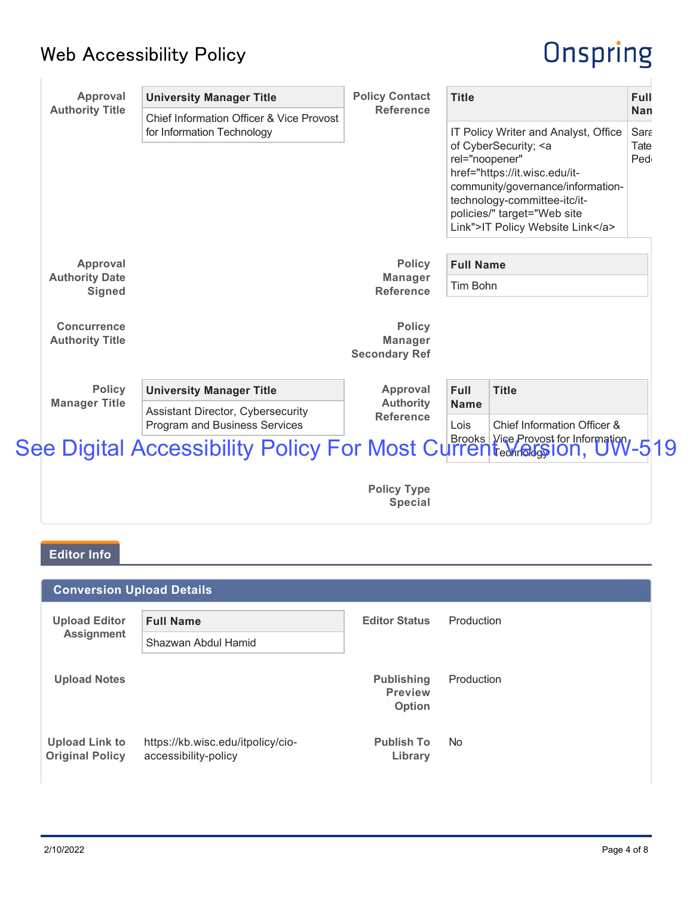# Onspring

| <b>Approval</b><br><b>Authority Title</b>    | <b>University Manager Title</b>                                                                                                                                                  | <b>Policy Contact</b><br><b>Reference</b>               | <b>Title</b>                                                                                                                                                                                                                                                       | Full<br><b>Nan</b>  |
|----------------------------------------------|----------------------------------------------------------------------------------------------------------------------------------------------------------------------------------|---------------------------------------------------------|--------------------------------------------------------------------------------------------------------------------------------------------------------------------------------------------------------------------------------------------------------------------|---------------------|
|                                              | <b>Chief Information Officer &amp; Vice Provost</b><br>for Information Technology                                                                                                |                                                         | IT Policy Writer and Analyst, Office<br>of CyberSecurity; <a<br>rel="noopener"<br/>href="https://it.wisc.edu/it-<br/>community/governance/information-<br/>technology-committee-itc/it-<br/>policies/" target="Web site<br/>Link"&gt;IT Policy Website Link</a<br> | Sara<br>Tate<br>Ped |
| Approval                                     |                                                                                                                                                                                  | <b>Policy</b>                                           | <b>Full Name</b>                                                                                                                                                                                                                                                   |                     |
| <b>Authority Date</b><br><b>Signed</b>       |                                                                                                                                                                                  | <b>Manager</b><br><b>Reference</b>                      | Tim Bohn                                                                                                                                                                                                                                                           |                     |
| <b>Concurrence</b><br><b>Authority Title</b> |                                                                                                                                                                                  | <b>Policy</b><br><b>Manager</b><br><b>Secondary Ref</b> |                                                                                                                                                                                                                                                                    |                     |
| <b>Policy</b><br><b>Manager Title</b>        | <b>University Manager Title</b><br>Assistant Director, Cybersecurity<br>Program and Business Services<br>See Digital Accessibility Policy For Most Current technologylon, UW-519 | Approval<br><b>Authority</b><br><b>Reference</b>        | <b>Full</b><br><b>Title</b><br><b>Name</b><br>Lois<br>Chief Information Officer &                                                                                                                                                                                  |                     |
|                                              |                                                                                                                                                                                  | <b>Policy Type</b><br><b>Special</b>                    |                                                                                                                                                                                                                                                                    |                     |
| <b>Editor Info</b>                           |                                                                                                                                                                                  |                                                         |                                                                                                                                                                                                                                                                    |                     |
| <b>Conversion Upload Details</b>             |                                                                                                                                                                                  |                                                         |                                                                                                                                                                                                                                                                    |                     |
| <b>Upload Editor</b><br><b>Assignment</b>    | <b>Full Name</b><br>Shazwan Abdul Hamid                                                                                                                                          | <b>Editor Status</b>                                    | Production                                                                                                                                                                                                                                                         |                     |
| <b>Upload Notes</b>                          |                                                                                                                                                                                  | <b>Publishing</b><br><b>Preview</b><br>Option           | Production                                                                                                                                                                                                                                                         |                     |
| <b>Upload Link to</b>                        | https://kb.wisc.edu/itpolicy/cio-                                                                                                                                                | <b>Publish To</b>                                       | No                                                                                                                                                                                                                                                                 |                     |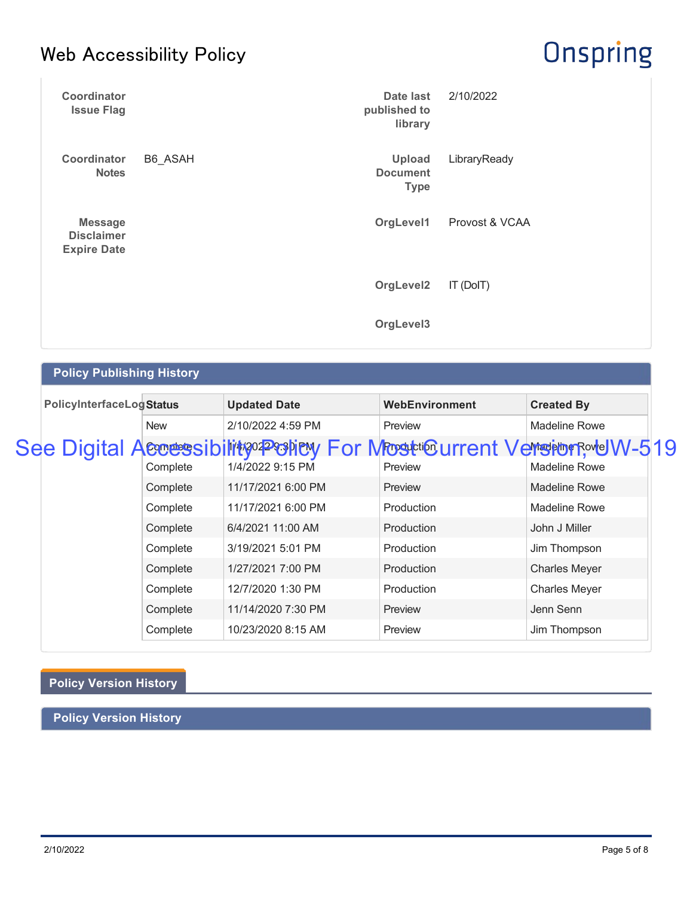# **Onspring**

| Coordinator<br><b>Issue Flag</b>                          |         | Date last<br>published to<br>library            | 2/10/2022      |
|-----------------------------------------------------------|---------|-------------------------------------------------|----------------|
| Coordinator<br><b>Notes</b>                               | B6_ASAH | <b>Upload</b><br><b>Document</b><br><b>Type</b> | LibraryReady   |
| <b>Message</b><br><b>Disclaimer</b><br><b>Expire Date</b> |         | OrgLevel1                                       | Provost & VCAA |
|                                                           |         | OrgLevel2                                       | IT (DoIT)      |
|                                                           |         | OrgLevel3                                       |                |

### **Policy Publishing History**

| <b>PolicyInterfaceLogStatus</b> |            | <b>Updated Date</b>                                                                 | WebEnvironment | <b>Created By</b>    |
|---------------------------------|------------|-------------------------------------------------------------------------------------|----------------|----------------------|
|                                 | <b>New</b> | 2/10/2022 4:59 PM                                                                   | Preview        | Madeline Rowe        |
|                                 | Complete   | See Digital Accessibility Porter Mosticurrent Versions vt W-519<br>1/4/2022 9:15 PM | Preview        | <b>Madeline Rowe</b> |
|                                 | Complete   | 11/17/2021 6:00 PM                                                                  | Preview        | Madeline Rowe        |
|                                 | Complete   | 11/17/2021 6:00 PM                                                                  | Production     | Madeline Rowe        |
|                                 | Complete   | 6/4/2021 11:00 AM                                                                   | Production     | John J Miller        |
|                                 | Complete   | 3/19/2021 5:01 PM                                                                   | Production     | Jim Thompson         |
|                                 | Complete   | 1/27/2021 7:00 PM                                                                   | Production     | <b>Charles Meyer</b> |
|                                 | Complete   | 12/7/2020 1:30 PM                                                                   | Production     | <b>Charles Meyer</b> |
|                                 | Complete   | 11/14/2020 7:30 PM                                                                  | Preview        | Jenn Senn            |
|                                 | Complete   | 10/23/2020 8:15 AM                                                                  | Preview        | Jim Thompson         |

# **Policy Version History**

**Policy Version History**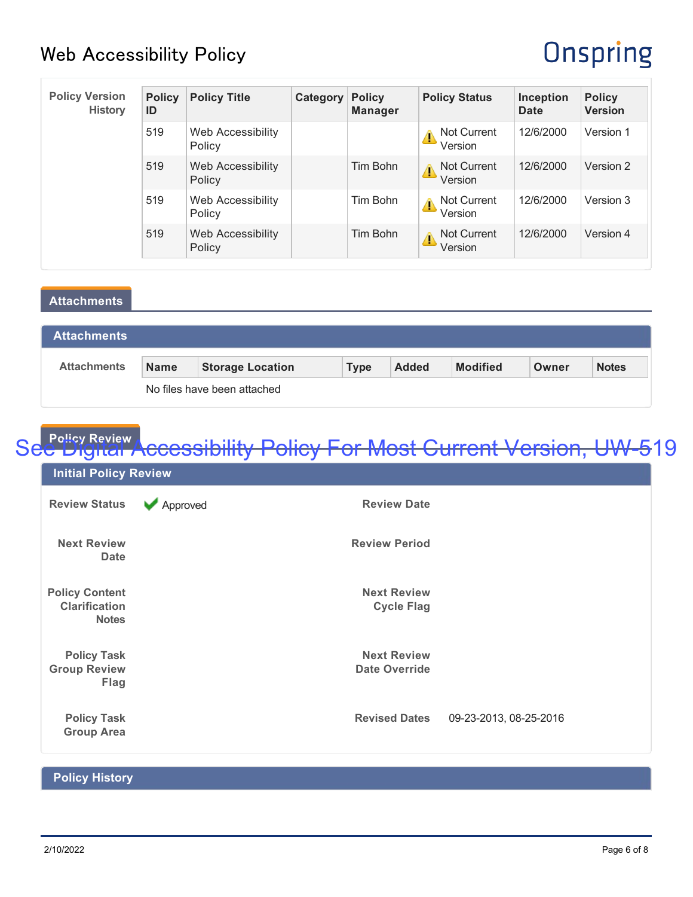# **Onspring**

| <b>Policy Version</b><br><b>History</b> | <b>Policy</b><br>ID | <b>Policy Title</b>         | Category | <b>Policy</b><br><b>Manager</b> | <b>Policy Status</b>               | Inception<br><b>Date</b> | <b>Policy</b><br><b>Version</b> |
|-----------------------------------------|---------------------|-----------------------------|----------|---------------------------------|------------------------------------|--------------------------|---------------------------------|
|                                         | 519                 | Web Accessibility<br>Policy |          |                                 | <b>Not Current</b><br>Version      | 12/6/2000                | Version 1                       |
|                                         | 519                 | Web Accessibility<br>Policy |          | Tim Bohn                        | <b>Not Current</b><br>4<br>Version | 12/6/2000                | Version 2                       |
|                                         | 519                 | Web Accessibility<br>Policy |          | Tim Bohn                        | Not Current<br>Δ<br>Version        | 12/6/2000                | Version 3                       |
|                                         | 519                 | Web Accessibility<br>Policy |          | Tim Bohn                        | Not Current<br>Δ<br>Version        | 12/6/2000                | Version 4                       |

#### **Attachments**

| <b>Attachments</b>          |             |                         |             |              |                 |       |              |
|-----------------------------|-------------|-------------------------|-------------|--------------|-----------------|-------|--------------|
| <b>Attachments</b>          | <b>Name</b> | <b>Storage Location</b> | <b>Type</b> | <b>Added</b> | <b>Modified</b> | Owner | <b>Notes</b> |
| No files have been attached |             |                         |             |              |                 |       |              |

#### **Policy Review**

# See Digital Accessibility Policy For Most Current Version, UW-519

| <b>Initial Policy Review</b>                                  |               |                                            |                        |
|---------------------------------------------------------------|---------------|--------------------------------------------|------------------------|
| <b>Review Status</b>                                          | Approved<br>v | <b>Review Date</b>                         |                        |
| <b>Next Review</b><br><b>Date</b>                             |               | <b>Review Period</b>                       |                        |
| <b>Policy Content</b><br><b>Clarification</b><br><b>Notes</b> |               | <b>Next Review</b><br><b>Cycle Flag</b>    |                        |
| <b>Policy Task</b><br><b>Group Review</b><br>Flag             |               | <b>Next Review</b><br><b>Date Override</b> |                        |
| <b>Policy Task</b><br><b>Group Area</b>                       |               | <b>Revised Dates</b>                       | 09-23-2013, 08-25-2016 |

#### **Policy History**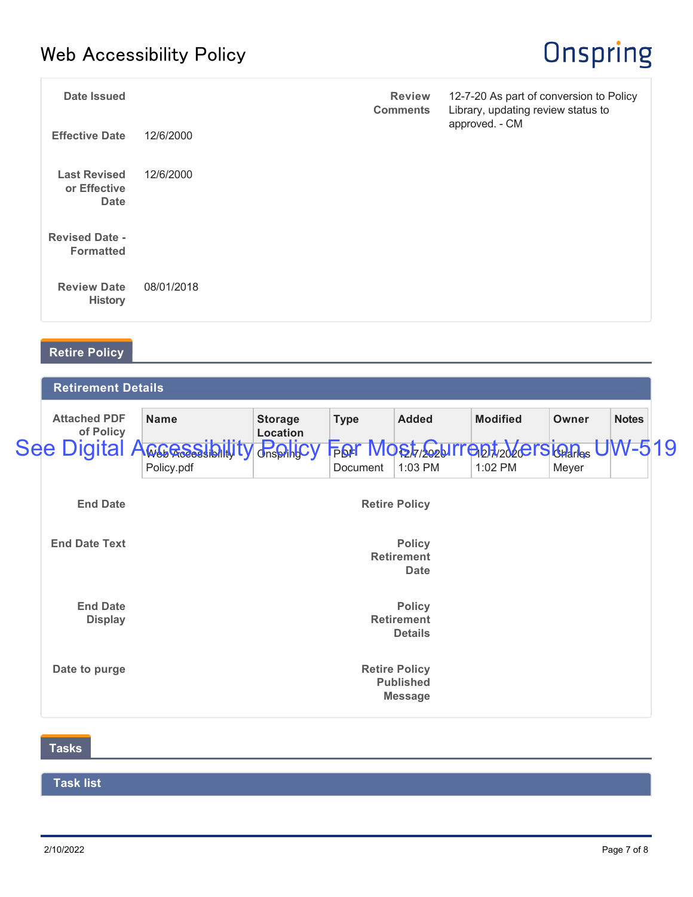# **Onspring**

| <b>Date Issued</b>                                 |            | <b>Review</b><br><b>Comments</b> | 12-7-20 As part of conversion to Policy<br>Library, updating review status to |
|----------------------------------------------------|------------|----------------------------------|-------------------------------------------------------------------------------|
| <b>Effective Date</b>                              | 12/6/2000  |                                  | approved. - CM                                                                |
| <b>Last Revised</b><br>or Effective<br><b>Date</b> | 12/6/2000  |                                  |                                                                               |
| <b>Revised Date -</b><br><b>Formatted</b>          |            |                                  |                                                                               |
| <b>Review Date</b><br><b>History</b>               | 08/01/2018 |                                  |                                                                               |

### **Retire Policy**

| <b>Retirement Details</b>                |                            |                                 |              |                                 |       |                                             |  |  |
|------------------------------------------|----------------------------|---------------------------------|--------------|---------------------------------|-------|---------------------------------------------|--|--|
| <b>Name</b>                              | <b>Storage</b><br>Location | <b>Type</b>                     | <b>Added</b> | <b>Modified</b>                 | Owner | <b>Notes</b>                                |  |  |
| Policy.pdf                               |                            | Document                        | 1:03 PM      | 1:02 PM                         | Meyer |                                             |  |  |
| <b>Retire Policy</b>                     |                            |                                 |              |                                 |       |                                             |  |  |
| <b>Policy</b><br><b>Retirement</b>       |                            |                                 |              |                                 |       |                                             |  |  |
|                                          |                            |                                 | <b>Date</b>  |                                 |       |                                             |  |  |
| <b>Retirement</b><br><b>Details</b>      |                            |                                 |              |                                 |       |                                             |  |  |
| <b>Retire Policy</b><br><b>Published</b> |                            |                                 |              |                                 |       |                                             |  |  |
|                                          | <b>See Digital A</b>       | <b>WGGGSSibillity Pospilicy</b> |              | <b>Policy</b><br><b>Message</b> |       | <b>FOR MOST CONTROL</b> 2020FS GRAPS UW-519 |  |  |

### **Tasks**

### **Task list**